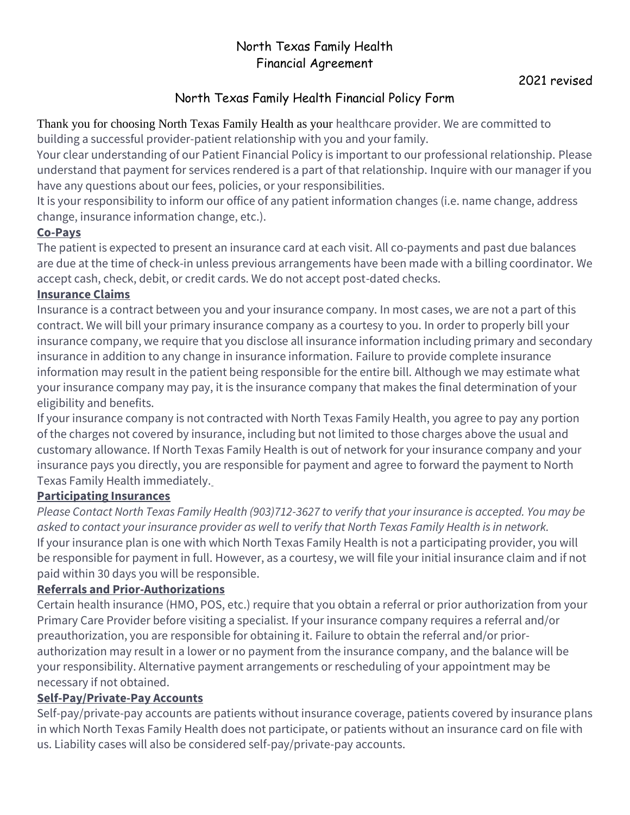# North Texas Family Health Financial Agreement

# North Texas Family Health Financial Policy Form

Thank you for choosing North Texas Family Health as your healthcare provider. We are committed to building a successful provider-patient relationship with you and your family.

Your clear understanding of our Patient Financial Policy is important to our professional relationship. Please understand that payment for services rendered is a part of that relationship. Inquire with our manager if you have any questions about our fees, policies, or your responsibilities.

It is your responsibility to inform our office of any patient information changes (i.e. name change, address change, insurance information change, etc.).

### **Co-Pays**

The patient is expected to present an insurance card at each visit. All co-payments and past due balances are due at the time of check-in unless previous arrangements have been made with a billing coordinator. We accept cash, check, debit, or credit cards. We do not accept post-dated checks.

### **Insurance Claims**

Insurance is a contract between you and your insurance company. In most cases, we are not a part of this contract. We will bill your primary insurance company as a courtesy to you. In order to properly bill your insurance company, we require that you disclose all insurance information including primary and secondary insurance in addition to any change in insurance information. Failure to provide complete insurance information may result in the patient being responsible for the entire bill. Although we may estimate what your insurance company may pay, it is the insurance company that makes the final determination of your eligibility and benefits.

If your insurance company is not contracted with North Texas Family Health, you agree to pay any portion of the charges not covered by insurance, including but not limited to those charges above the usual and customary allowance. If North Texas Family Health is out of network for your insurance company and your insurance pays you directly, you are responsible for payment and agree to forward the payment to North Texas Family Health immediately.

### **Participating Insurances**

*Please Contact North Texas Family Health (903)712-3627 to verify that your insurance is accepted. You may be asked to contact your insurance provider as well to verify that North Texas Family Health is in network.* If your insurance plan is one with which North Texas Family Health is not a participating provider, you will be responsible for payment in full. However, as a courtesy, we will file your initial insurance claim and if not paid within 30 days you will be responsible.

### **Referrals and Prior-Authorizations**

Certain health insurance (HMO, POS, etc.) require that you obtain a referral or prior authorization from your Primary Care Provider before visiting a specialist. If your insurance company requires a referral and/or preauthorization, you are responsible for obtaining it. Failure to obtain the referral and/or priorauthorization may result in a lower or no payment from the insurance company, and the balance will be your responsibility. Alternative payment arrangements or rescheduling of your appointment may be necessary if not obtained.

# **Self-Pay/Private-Pay Accounts**

Self-pay/private-pay accounts are patients without insurance coverage, patients covered by insurance plans in which North Texas Family Health does not participate, or patients without an insurance card on file with us. Liability cases will also be considered self-pay/private-pay accounts.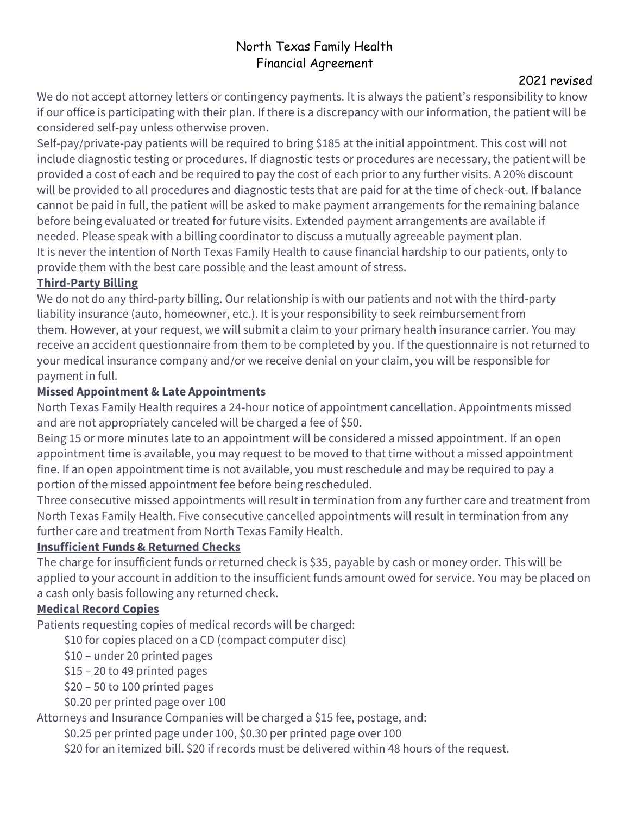# North Texas Family Health Financial Agreement

### 2021 revised

We do not accept attorney letters or contingency payments. It is always the patient's responsibility to know if our office is participating with their plan. If there is a discrepancy with our information, the patient will be considered self-pay unless otherwise proven.

Self-pay/private-pay patients will be required to bring \$185 at the initial appointment. This cost will not include diagnostic testing or procedures. If diagnostic tests or procedures are necessary, the patient will be provided a cost of each and be required to pay the cost of each prior to any further visits. A 20% discount will be provided to all procedures and diagnostic tests that are paid for at the time of check-out. If balance cannot be paid in full, the patient will be asked to make payment arrangements for the remaining balance before being evaluated or treated for future visits. Extended payment arrangements are available if needed. Please speak with a billing coordinator to discuss a mutually agreeable payment plan. It is never the intention of North Texas Family Health to cause financial hardship to our patients, only to provide them with the best care possible and the least amount of stress.

#### **Third-Party Billing**

We do not do any third-party billing. Our relationship is with our patients and not with the third-party liability insurance (auto, homeowner, etc.). It is your responsibility to seek reimbursement from them. However, at your request, we will submit a claim to your primary health insurance carrier. You may receive an accident questionnaire from them to be completed by you. If the questionnaire is not returned to your medical insurance company and/or we receive denial on your claim, you will be responsible for payment in full.

#### **Missed Appointment & Late Appointments**

North Texas Family Health requires a 24-hour notice of appointment cancellation. Appointments missed and are not appropriately canceled will be charged a fee of \$50.

Being 15 or more minutes late to an appointment will be considered a missed appointment. If an open appointment time is available, you may request to be moved to that time without a missed appointment fine. If an open appointment time is not available, you must reschedule and may be required to pay a portion of the missed appointment fee before being rescheduled.

Three consecutive missed appointments will result in termination from any further care and treatment from North Texas Family Health. Five consecutive cancelled appointments will result in termination from any further care and treatment from North Texas Family Health.

### **Insufficient Funds & Returned Checks**

The charge for insufficient funds or returned check is \$35, payable by cash or money order. This will be applied to your account in addition to the insufficient funds amount owed for service. You may be placed on a cash only basis following any returned check.

### **Medical Record Copies**

Patients requesting copies of medical records will be charged:

\$10 for copies placed on a CD (compact computer disc)

\$10 – under 20 printed pages

- \$15 20 to 49 printed pages
- \$20 50 to 100 printed pages
- \$0.20 per printed page over 100

Attorneys and Insurance Companies will be charged a \$15 fee, postage, and:

\$0.25 per printed page under 100, \$0.30 per printed page over 100

\$20 for an itemized bill. \$20 if records must be delivered within 48 hours of the request.